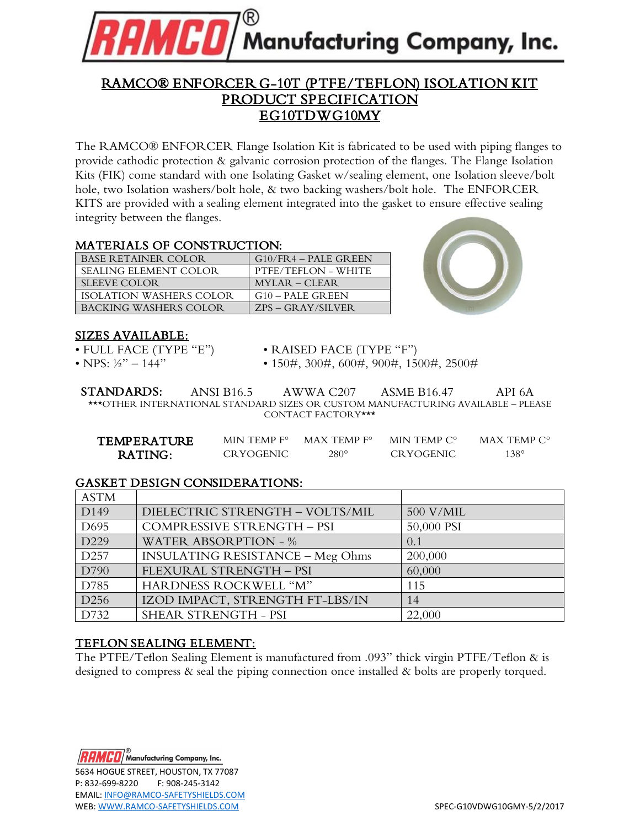

# RAMCO® ENFORCER G-10T (PTFE/TEFLON) ISOLATION KIT PRODUCT SPECIFICATION EG10TDWG10MY

The RAMCO® ENFORCER Flange Isolation Kit is fabricated to be used with piping flanges to provide cathodic protection & galvanic corrosion protection of the flanges. The Flange Isolation Kits (FIK) come standard with one Isolating Gasket w/sealing element, one Isolation sleeve/bolt hole, two Isolation washers/bolt hole, & two backing washers/bolt hole. The ENFORCER KITS are provided with a sealing element integrated into the gasket to ensure effective sealing integrity between the flanges.

#### MATERIALS OF CONSTRUCTION:

| <b>BASE RETAINER COLOR</b>   | $G10$ /FR4 – PALE GREEN |
|------------------------------|-------------------------|
| <b>SEALING ELEMENT COLOR</b> | PTFE/TEFLON - WHITE     |
| <b>SLEEVE COLOR</b>          | MYLAR – CLEAR           |
| ISOLATION WASHERS COLOR      | $G10 - PALE GREEN$      |
| BACKING WASHERS COLOR        | $ZPS - GRAY/SILVER$     |



#### SIZES AVAILABLE:

- 
- 
- FULL FACE (TYPE "E") RAISED FACE (TYPE "F")
- NPS:  $\frac{1}{2}$ " 144" 150#, 300#, 600#, 900#, 1500#, 2500#

STANDARDS: ANSI B16.5 AWWA C207 ASME B16.47 API 6A \*\*\*OTHER INTERNATIONAL STANDARD SIZES OR CUSTOM MANUFACTURING AVAILABLE – PLEASE CONTACT FACTORY\*\*\*

| TEMPERATURE | $MIN$ TEMP $F^{\circ}$ | $MAX$ TEMP $F^{\circ}$ | MIN TEMP C°      | MAX TEMP $C^{\circ}$ |
|-------------|------------------------|------------------------|------------------|----------------------|
| RATING:     | <b>CRYOGENIC</b>       | $280^\circ$            | <b>CRYOGENIC</b> | 138°                 |

### GASKET DESIGN CONSIDERATIONS:

| <b>ASTM</b>      |                                         |            |
|------------------|-----------------------------------------|------------|
| D <sub>149</sub> | DIELECTRIC STRENGTH - VOLTS/MIL         | 500 V/MIL  |
| D695             | COMPRESSIVE STRENGTH - PSI              | 50,000 PSI |
| D229             | <b>WATER ABSORPTION - %</b>             | 0.1        |
| D <sub>257</sub> | <b>INSULATING RESISTANCE - Meg Ohms</b> | 200,000    |
| D790             | FLEXURAL STRENGTH - PSI                 | 60,000     |
| D785             | HARDNESS ROCKWELL "M"                   | 115        |
| D <sub>256</sub> | IZOD IMPACT, STRENGTH FT-LBS/IN         | 14         |
| D732             | SHEAR STRENGTH - PSI                    | 22,000     |

### TEFLON SEALING ELEMENT:

The PTFE/Teflon Sealing Element is manufactured from .093" thick virgin PTFE/Teflon & is designed to compress & seal the piping connection once installed & bolts are properly torqued.

**MCD** Manufacturing Company, Inc. 5634 HOGUE STREET, HOUSTON, TX 77087 P: 832-699-8220 F: 908-245-3142 EMAIL: [INFO@RAMCO-SAFETYSHIELDS.COM](mailto:INFO@RAMCO-SAFETYSHIELDS.COM) WEB[: WWW.RAMCO-SAFETYSHIELDS.COM](http://www.ramco-safetyshields.com/) SPEC-G10VDWG10GMY-5/2/2017